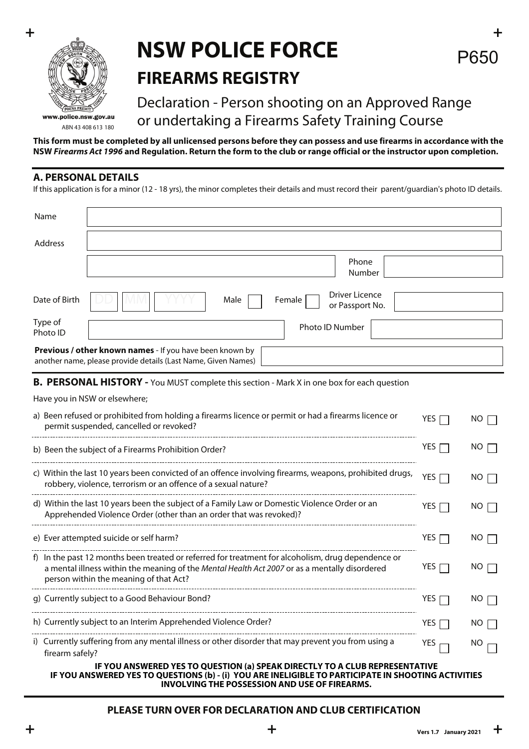

### **+ + NSW POLICE FORCE FIREARMS REGISTRY**

### Declaration - Person shooting on an Approved Range or undertaking a Firearms Safety Training Course

**This form must be completed by all unlicensed persons before they can possess and use firearms in accordance with the NSW** *Firearms Act 1996* **and Regulation. Return the form to the club or range official or the instructor upon completion.**

#### **A. PERSONAL DETAILS**

If this application is for a minor (12 - 18 yrs), the minor completes their details and must record their parent/guardian's photo ID details.

| Name                                                                                                                                                                                                                                          |                  |             |  |  |  |  |  |
|-----------------------------------------------------------------------------------------------------------------------------------------------------------------------------------------------------------------------------------------------|------------------|-------------|--|--|--|--|--|
| Address                                                                                                                                                                                                                                       |                  |             |  |  |  |  |  |
| Phone<br>Number                                                                                                                                                                                                                               |                  |             |  |  |  |  |  |
| <b>Driver Licence</b><br>Date of Birth<br>Female<br>Male<br>or Passport No.                                                                                                                                                                   |                  |             |  |  |  |  |  |
| Type of<br>Photo ID Number<br>Photo ID                                                                                                                                                                                                        |                  |             |  |  |  |  |  |
| Previous / other known names - If you have been known by<br>another name, please provide details (Last Name, Given Names)                                                                                                                     |                  |             |  |  |  |  |  |
| B. PERSONAL HISTORY - You MUST complete this section - Mark X in one box for each question                                                                                                                                                    |                  |             |  |  |  |  |  |
| Have you in NSW or elsewhere;                                                                                                                                                                                                                 |                  |             |  |  |  |  |  |
| a) Been refused or prohibited from holding a firearms licence or permit or had a firearms licence or<br>permit suspended, cancelled or revoked?                                                                                               | YES $\Gamma$     | NO.         |  |  |  |  |  |
| b) Been the subject of a Firearms Prohibition Order?                                                                                                                                                                                          | YES [            | NO.         |  |  |  |  |  |
| c) Within the last 10 years been convicted of an offence involving firearms, weapons, prohibited drugs,<br>robbery, violence, terrorism or an offence of a sexual nature?                                                                     | YES $\Gamma$     | $NO \Gamma$ |  |  |  |  |  |
| d) Within the last 10 years been the subject of a Family Law or Domestic Violence Order or an<br>Apprehended Violence Order (other than an order that was revoked)?                                                                           | YES              | NO.         |  |  |  |  |  |
| e) Ever attempted suicide or self harm?                                                                                                                                                                                                       | YES              | NO.         |  |  |  |  |  |
| f) In the past 12 months been treated or referred for treatment for alcoholism, drug dependence or<br>a mental illness within the meaning of the Mental Health Act 2007 or as a mentally disordered<br>person within the meaning of that Act? | YES              | NO.         |  |  |  |  |  |
| g) Currently subject to a Good Behaviour Bond?                                                                                                                                                                                                | YES <sub>I</sub> | NO          |  |  |  |  |  |
| h) Currently subject to an Interim Apprehended Violence Order?                                                                                                                                                                                | YES <sub>L</sub> | NO.         |  |  |  |  |  |
| i) Currently suffering from any mental illness or other disorder that may prevent you from using a<br>firearm safely?                                                                                                                         | YES              | NO          |  |  |  |  |  |
| IF YOU ANSWERED YES TO QUESTION (a) SPEAK DIRECTLY TO A CLUB REPRESENTATIVE<br>IF YOU ANSWERED YES TO QUESTIONS (b) - (i) YOU ARE INELIGIBLE TO PARTICIPATE IN SHOOTING ACTIVITIES                                                            |                  |             |  |  |  |  |  |

# **INVOLVING THE POSSESSION AND USE OF FIREARMS.**

#### **PLEASE TURN OVER FOR DECLARATION AND CLUB CERTIFICATION**